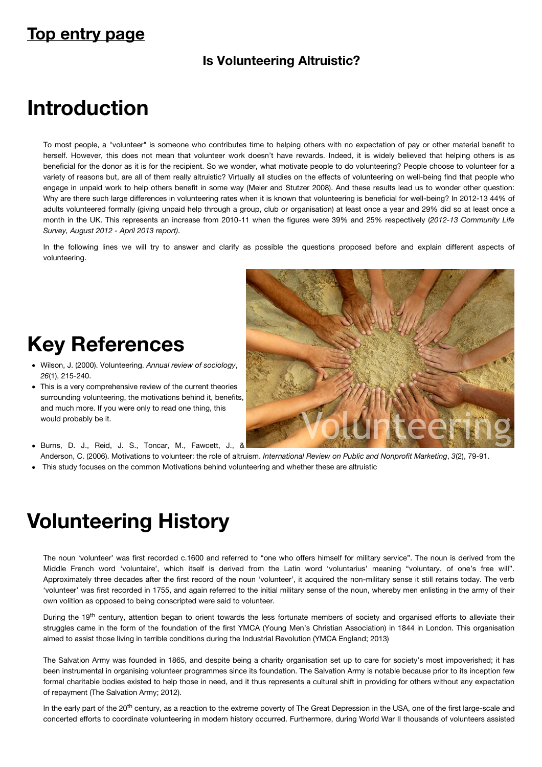#### **Top entry page**

#### **Is Volunteering Altruistic?**

## **Introduction**

To most people, a "volunteer" is someone who contributes time to helping others with no expectation of pay or other material benefit to herself. However, this does not mean that volunteer work doesn't have rewards. Indeed, it is widely believed that helping others is as beneficial for the donor as it is for the recipient. So we wonder, what motivate people to do volunteering? People choose to volunteer for a variety of reasons but, are all of them really altruistic? Virtually all studies on the effects of volunteering on well-being find that people who engage in unpaid work to help others benefit in some way (Meier and Stutzer 2008). And these results lead us to wonder other question: Why are there such large differences in volunteering rates when it is known that volunteering is beneficial for well-being? In 2012-13 44% of adults volunteered formally (giving unpaid help through a group, club or organisation) at least once a year and 29% did so at least once a month in the UK. This represents an increase from 2010-11 when the figures were 39% and 25% respectively (*2012-13 Community Life Survey, August 2012 - April 2013 report)*.

In the following lines we will try to answer and clarify as possible the questions proposed before and explain different aspects of volunteering.



# **Key References**

- Wilson, J. (2000). Volunteering. *Annual review of sociology*, *26*(1), 215-240.
- This is a very comprehensive review of the current theories surrounding volunteering, the motivations behind it, benefits, and much more. If you were only to read one thing, this would probably be it.
- Burns, D. J., Reid, J. S., Toncar, M., Fawcett, J., & Anderson, C. (2006). Motivations to volunteer: the role of altruism. *International Review on Public and Nonprofit Marketing*, *3*(2), 79-91. This study focuses on the common Motivations behind volunteering and whether these are altruistic

# **Volunteering History**

The noun 'volunteer' was first recorded c.1600 and referred to "one who offers himself for military service". The noun is derived from the Middle French word 'voluntaire', which itself is derived from the Latin word 'voluntarius' meaning "voluntary, of one's free will". Approximately three decades after the first record of the noun 'volunteer', it acquired the non-military sense it still retains today. The verb 'volunteer' was first recorded in 1755, and again referred to the initial military sense of the noun, whereby men enlisting in the army of their own volition as opposed to being conscripted were said to volunteer.

During the 19<sup>th</sup> century, attention began to orient towards the less fortunate members of society and organised efforts to alleviate their struggles came in the form of the foundation of the first YMCA (Young Men's Christian Association) in 1844 in London. This organisation aimed to assist those living in terrible conditions during the Industrial Revolution (YMCA England; 2013)

The Salvation Army was founded in 1865, and despite being a charity organisation set up to care for society's most impoverished; it has been instrumental in organising volunteer programmes since its foundation. The Salvation Army is notable because prior to its inception few formal charitable bodies existed to help those in need, and it thus represents a cultural shift in providing for others without any expectation of repayment (The Salvation Army; 2012).

In the early part of the 20<sup>th</sup> century, as a reaction to the extreme poverty of The Great Depression in the USA, one of the first large-scale and concerted efforts to coordinate volunteering in modern history occurred. Furthermore, during World War II thousands of volunteers assisted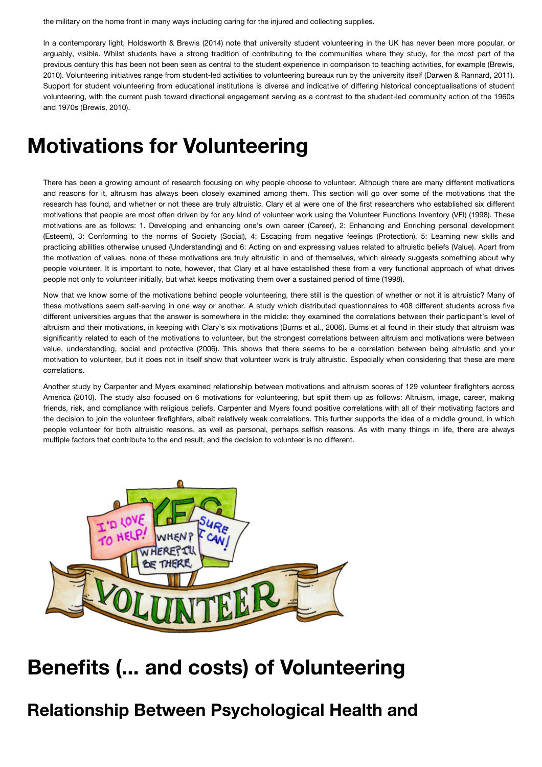the military on the home front in many ways including caring for the injured and collecting supplies.

In a contemporary light, Holdsworth & Brewis (2014) note that university student volunteering in the UK has never been more popular, or arguably, visible. Whilst students have a strong tradition of contributing to the communities where they study, for the most part of the previous century this has been not been seen as central to the student experience in comparison to teaching activities, for example (Brewis, 2010). Volunteering initiatives range from student-led activities to volunteering bureaux run by the university itself (Darwen & Rannard, 2011). Support for student volunteering from educational institutions is diverse and indicative of differing historical conceptualisations of student volunteering, with the current push toward directional engagement serving as a contrast to the student-led community action of the 1960s and 1970s (Brewis, 2010).

# **Motivations for Volunteering**

There has been a growing amount of research focusing on why people choose to volunteer. Although there are many different motivations and reasons for it, altruism has always been closely examined among them. This section will go over some of the motivations that the research has found, and whether or not these are truly altruistic. Clary et al were one of the first researchers who established six different motivations that people are most often driven by for any kind of volunteer work using the Volunteer Functions Inventory (VFI) (1998). These motivations are as follows: 1. Developing and enhancing one's own career (Career), 2: Enhancing and Enriching personal development (Esteem), 3: Conforming to the norms of Society (Social), 4: Escaping from negative feelings (Protection), 5: Learning new skills and practicing abilities otherwise unused (Understanding) and 6: Acting on and expressing values related to altruistic beliefs (Value). Apart from the motivation of values, none of these motivations are truly altruistic in and of themselves, which already suggests something about why people volunteer. It is important to note, however, that Clary et al have established these from a very functional approach of what drives people not only to volunteer initially, but what keeps motivating them over a sustained period of time (1998).

Now that we know some of the motivations behind people volunteering, there still is the question of whether or not it is altruistic? Many of these motivations seem self-serving in one way or another. A study which distributed questionnaires to 408 different students across five different universities argues that the answer is somewhere in the middle: they examined the correlations between their participant's level of altruism and their motivations, in keeping with Clary's six motivations (Burns et al., 2006). Burns et al found in their study that altruism was significantly related to each of the motivations to volunteer, but the strongest correlations between altruism and motivations were between value, understanding, social and protective (2006). This shows that there seems to be a correlation between being altruistic and your motivation to volunteer, but it does not in itself show that volunteer work is truly altruistic. Especially when considering that these are mere correlations.

Another study by Carpenter and Myers examined relationship between motivations and altruism scores of 129 volunteer firefighters across America (2010). The study also focused on 6 motivations for volunteering, but split them up as follows: Altruism, image, career, making friends, risk, and compliance with religious beliefs. Carpenter and Myers found positive correlations with all of their motivating factors and the decision to join the volunteer firefighters, albeit relatively weak correlations. This further supports the idea of a middle ground, in which people volunteer for both altruistic reasons, as well as personal, perhaps selfish reasons. As with many things in life, there are always multiple factors that contribute to the end result, and the decision to volunteer is no different.



## **Benefits (... and costs) of Volunteering**

#### **Relationship Between Psychological Health and**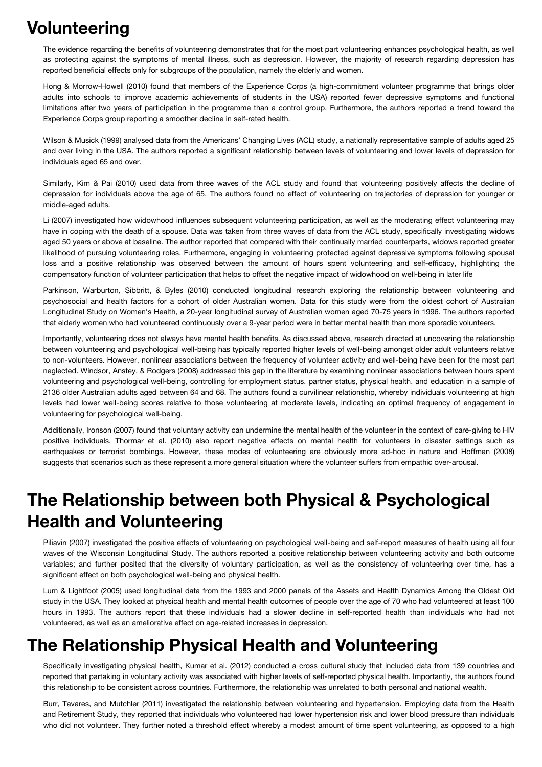#### **Volunteering**

The evidence regarding the benefits of volunteering demonstrates that for the most part volunteering enhances psychological health, as well as protecting against the symptoms of mental illness, such as depression. However, the majority of research regarding depression has reported beneficial effects only for subgroups of the population, namely the elderly and women.

Hong & Morrow-Howell (2010) found that members of the Experience Corps (a high-commitment volunteer programme that brings older adults into schools to improve academic achievements of students in the USA) reported fewer depressive symptoms and functional limitations after two years of participation in the programme than a control group. Furthermore, the authors reported a trend toward the Experience Corps group reporting a smoother decline in self-rated health.

Wilson & Musick (1999) analysed data from the Americans' Changing Lives (ACL) study, a nationally representative sample of adults aged 25 and over living in the USA. The authors reported a significant relationship between levels of volunteering and lower levels of depression for individuals aged 65 and over.

Similarly, Kim & Pai (2010) used data from three waves of the ACL study and found that volunteering positively affects the decline of depression for individuals above the age of 65. The authors found no effect of volunteering on trajectories of depression for younger or middle-aged adults.

Li (2007) investigated how widowhood influences subsequent volunteering participation, as well as the moderating effect volunteering may have in coping with the death of a spouse. Data was taken from three waves of data from the ACL study, specifically investigating widows aged 50 years or above at baseline. The author reported that compared with their continually married counterparts, widows reported greater likelihood of pursuing volunteering roles. Furthermore, engaging in volunteering protected against depressive symptoms following spousal loss and a positive relationship was observed between the amount of hours spent volunteering and self-efficacy, highlighting the compensatory function of volunteer participation that helps to offset the negative impact of widowhood on well-being in later life

Parkinson, Warburton, Sibbritt, & Byles (2010) conducted longitudinal research exploring the relationship between volunteering and psychosocial and health factors for a cohort of older Australian women. Data for this study were from the oldest cohort of Australian Longitudinal Study on Women's Health, a 20-year longitudinal survey of Australian women aged 70-75 years in 1996. The authors reported that elderly women who had volunteered continuously over a 9-year period were in better mental health than more sporadic volunteers.

Importantly, volunteering does not always have mental health benefits. As discussed above, research directed at uncovering the relationship between volunteering and psychological well-being has typically reported higher levels of well-being amongst older adult volunteers relative to non-volunteers. However, nonlinear associations between the frequency of volunteer activity and well-being have been for the most part neglected. Windsor, Anstey, & Rodgers (2008) addressed this gap in the literature by examining nonlinear associations between hours spent volunteering and psychological well-being, controlling for employment status, partner status, physical health, and education in a sample of 2136 older Australian adults aged between 64 and 68. The authors found a curvilinear relationship, whereby individuals volunteering at high levels had lower well-being scores relative to those volunteering at moderate levels, indicating an optimal frequency of engagement in volunteering for psychological well-being.

Additionally, Ironson (2007) found that voluntary activity can undermine the mental health of the volunteer in the context of care-giving to HIV positive individuals. Thormar et al. (2010) also report negative effects on mental health for volunteers in disaster settings such as earthquakes or terrorist bombings. However, these modes of volunteering are obviously more ad-hoc in nature and Hoffman (2008) suggests that scenarios such as these represent a more general situation where the volunteer suffers from empathic over-arousal.

### **The Relationship between both Physical & Psychological Health and Volunteering**

Piliavin (2007) investigated the positive effects of volunteering on psychological well-being and self-report measures of health using all four waves of the Wisconsin Longitudinal Study. The authors reported a positive relationship between volunteering activity and both outcome variables; and further posited that the diversity of voluntary participation, as well as the consistency of volunteering over time, has a significant effect on both psychological well-being and physical health.

Lum & Lightfoot (2005) used longitudinal data from the 1993 and 2000 panels of the Assets and Health Dynamics Among the Oldest Old study in the USA. They looked at physical health and mental health outcomes of people over the age of 70 who had volunteered at least 100 hours in 1993. The authors report that these individuals had a slower decline in self-reported health than individuals who had not volunteered, as well as an ameliorative effect on age-related increases in depression.

### **The Relationship Physical Health and Volunteering**

Specifically investigating physical health, Kumar et al. (2012) conducted a cross cultural study that included data from 139 countries and reported that partaking in voluntary activity was associated with higher levels of self-reported physical health. Importantly, the authors found this relationship to be consistent across countries. Furthermore, the relationship was unrelated to both personal and national wealth.

Burr, Tavares, and Mutchler (2011) investigated the relationship between volunteering and hypertension. Employing data from the Health and Retirement Study, they reported that individuals who volunteered had lower hypertension risk and lower blood pressure than individuals who did not volunteer. They further noted a threshold effect whereby a modest amount of time spent volunteering, as opposed to a high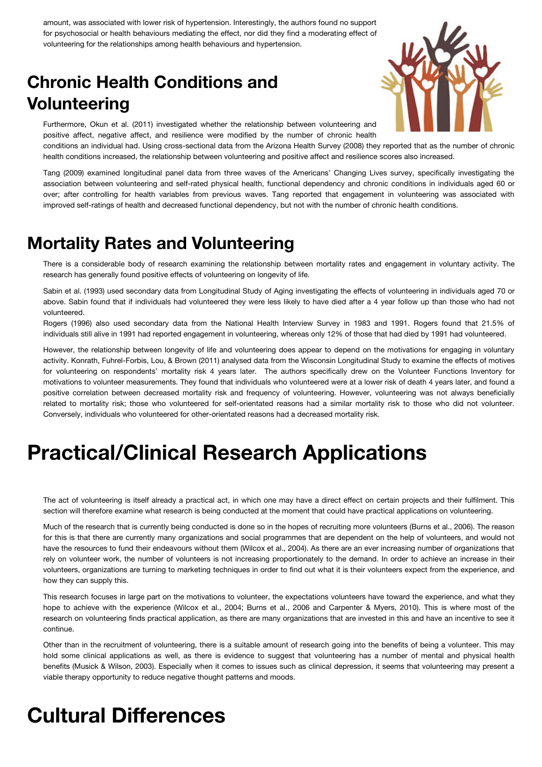amount, was associated with lower risk of hypertension. Interestingly, the authors found no support for psychosocial or health behaviours mediating the effect, nor did they find a moderating effect of volunteering for the relationships among health behaviours and hypertension.

### **Chronic Health Conditions and Volunteering**



Furthermore, Okun et al. (2011) investigated whether the relationship between volunteering and positive affect, negative affect, and resilience were modified by the number of chronic health

conditions an individual had. Using cross-sectional data from the Arizona Health Survey (2008) they reported that as the number of chronic health conditions increased, the relationship between volunteering and positive affect and resilience scores also increased.

Tang (2009) examined longitudinal panel data from three waves of the Americans' Changing Lives survey, specifically investigating the association between volunteering and self-rated physical health, functional dependency and chronic conditions in individuals aged 60 or over; after controlling for health variables from previous waves. Tang reported that engagement in volunteering was associated with improved self-ratings of health and decreased functional dependency, but not with the number of chronic health conditions.

#### **Mortality Rates and Volunteering**

There is a considerable body of research examining the relationship between mortality rates and engagement in voluntary activity. The research has generally found positive effects of volunteering on longevity of life.

Sabin et al. (1993) used secondary data from Longitudinal Study of Aging investigating the effects of volunteering in individuals aged 70 or above. Sabin found that if individuals had volunteered they were less likely to have died after a 4 year follow up than those who had not volunteered.

Rogers (1996) also used secondary data from the National Health Interview Survey in 1983 and 1991. Rogers found that 21.5% of individuals still alive in 1991 had reported engagement in volunteering, whereas only 12% of those that had died by 1991 had volunteered.

However, the relationship between longevity of life and volunteering does appear to depend on the motivations for engaging in voluntary activity. Konrath, Fuhrel-Forbis, Lou, & Brown (2011) analysed data from the Wisconsin Longitudinal Study to examine the effects of motives for volunteering on respondents' mortality risk 4 years later. The authors specifically drew on the Volunteer Functions Inventory for motivations to volunteer measurements. They found that individuals who volunteered were at a lower risk of death 4 years later, and found a positive correlation between decreased mortality risk and frequency of volunteering. However, volunteering was not always beneficially related to mortality risk; those who volunteered for self-orientated reasons had a similar mortality risk to those who did not volunteer. Conversely, individuals who volunteered for other-orientated reasons had a decreased mortality risk.

# **Practical/Clinical Research Applications**

The act of volunteering is itself already a practical act, in which one may have a direct effect on certain projects and their fulfilment. This section will therefore examine what research is being conducted at the moment that could have practical applications on volunteering.

Much of the research that is currently being conducted is done so in the hopes of recruiting more volunteers (Burns et al., 2006). The reason for this is that there are currently many organizations and social programmes that are dependent on the help of volunteers, and would not have the resources to fund their endeavours without them (Wilcox et al., 2004). As there are an ever increasing number of organizations that rely on volunteer work, the number of volunteers is not increasing proportionately to the demand. In order to achieve an increase in their volunteers, organizations are turning to marketing techniques in order to find out what it is their volunteers expect from the experience, and how they can supply this.

This research focuses in large part on the motivations to volunteer, the expectations volunteers have toward the experience, and what they hope to achieve with the experience (Wilcox et al., 2004; Burns et al., 2006 and Carpenter & Myers, 2010). This is where most of the research on volunteering finds practical application, as there are many organizations that are invested in this and have an incentive to see it continue.

Other than in the recruitment of volunteering, there is a suitable amount of research going into the benefits of being a volunteer. This may hold some clinical applications as well, as there is evidence to suggest that volunteering has a number of mental and physical health benefits (Musick & Wilson, 2003). Especially when it comes to issues such as clinical depression, it seems that volunteering may present a viable therapy opportunity to reduce negative thought patterns and moods.

# **Cultural Differences**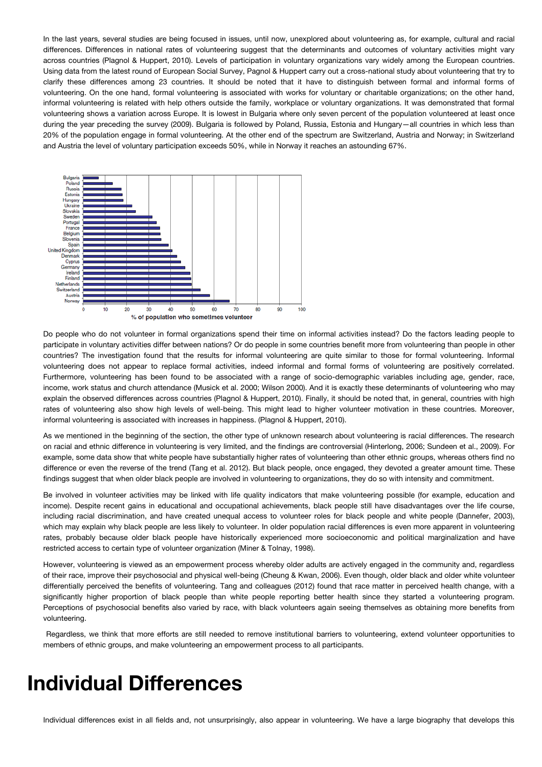In the last years, several studies are being focused in issues, until now, unexplored about volunteering as, for example, cultural and racial differences. Differences in national rates of volunteering suggest that the determinants and outcomes of voluntary activities might vary across countries (Plagnol & Huppert, 2010). Levels of participation in voluntary organizations vary widely among the European countries. Using data from the latest round of European Social Survey, Pagnol & Huppert carry out a cross-national study about volunteering that try to clarify these differences among 23 countries. It should be noted that it have to distinguish between formal and informal forms of volunteering. On the one hand, formal volunteering is associated with works for voluntary or charitable organizations; on the other hand, informal volunteering is related with help others outside the family, workplace or voluntary organizations. It was demonstrated that formal volunteering shows a variation across Europe. It is lowest in Bulgaria where only seven percent of the population volunteered at least once during the year preceding the survey (2009). Bulgaria is followed by Poland, Russia, Estonia and Hungary—all countries in which less than 20% of the population engage in formal volunteering. At the other end of the spectrum are Switzerland, Austria and Norway; in Switzerland and Austria the level of voluntary participation exceeds 50%, while in Norway it reaches an astounding 67%.



Do people who do not volunteer in formal organizations spend their time on informal activities instead? Do the factors leading people to participate in voluntary activities differ between nations? Or do people in some countries benefit more from volunteering than people in other countries? The investigation found that the results for informal volunteering are quite similar to those for formal volunteering. Informal volunteering does not appear to replace formal activities, indeed informal and formal forms of volunteering are positively correlated. Furthermore, volunteering has been found to be associated with a range of socio-demographic variables including age, gender, race, income, work status and church attendance (Musick et al. 2000; Wilson 2000). And it is exactly these determinants of volunteering who may explain the observed differences across countries (Plagnol & Huppert, 2010). Finally, it should be noted that, in general, countries with high rates of volunteering also show high levels of well-being. This might lead to higher volunteer motivation in these countries. Moreover, informal volunteering is associated with increases in happiness. (Plagnol & Huppert, 2010).

As we mentioned in the beginning of the section, the other type of unknown research about volunteering is racial differences. The research on racial and ethnic difference in volunteering is very limited, and the findings are controversial (Hinterlong, 2006; Sundeen et al., 2009). For example, some data show that white people have substantially higher rates of volunteering than other ethnic groups, whereas others find no difference or even the reverse of the trend (Tang et al. 2012). But black people, once engaged, they devoted a greater amount time. These findings suggest that when older black people are involved in volunteering to organizations, they do so with intensity and commitment.

Be involved in volunteer activities may be linked with life quality indicators that make volunteering possible (for example, education and income). Despite recent gains in educational and occupational achievements, black people still have disadvantages over the life course, including racial discrimination, and have created unequal access to volunteer roles for black people and white people (Dannefer, 2003), which may explain why black people are less likely to volunteer. In older population racial differences is even more apparent in volunteering rates, probably because older black people have historically experienced more socioeconomic and political marginalization and have restricted access to certain type of volunteer organization (Miner & Tolnay, 1998).

However, volunteering is viewed as an empowerment process whereby older adults are actively engaged in the community and, regardless of their race, improve their psychosocial and physical well-being (Cheung & Kwan, 2006). Even though, older black and older white volunteer differentially perceived the benefits of volunteering. Tang and colleagues (2012) found that race matter in perceived health change, with a significantly higher proportion of black people than white people reporting better health since they started a volunteering program. Perceptions of psychosocial benefits also varied by race, with black volunteers again seeing themselves as obtaining more benefits from volunteering.

 Regardless, we think that more efforts are still needed to remove institutional barriers to volunteering, extend volunteer opportunities to members of ethnic groups, and make volunteering an empowerment process to all participants.

### **Individual Differences**

Individual differences exist in all fields and, not unsurprisingly, also appear in volunteering. We have a large biography that develops this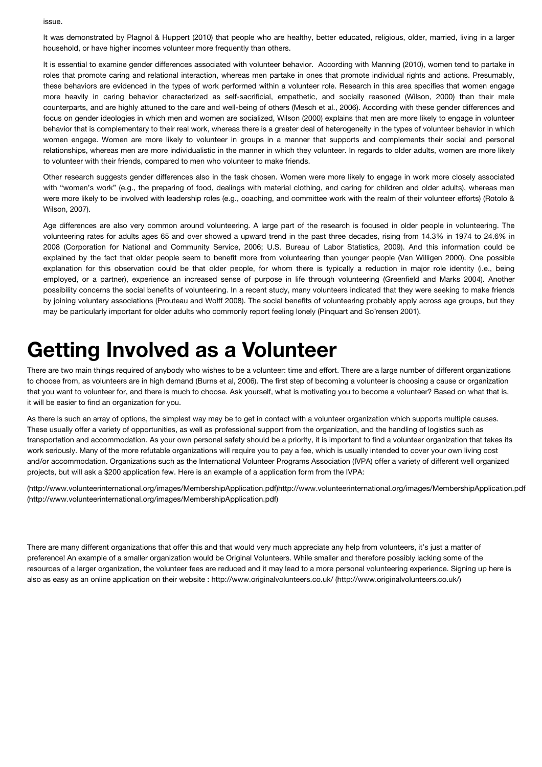issue.

It was demonstrated by Plagnol & Huppert (2010) that people who are healthy, better educated, religious, older, married, living in a larger household, or have higher incomes volunteer more frequently than others.

It is essential to examine gender differences associated with volunteer behavior. According with Manning (2010), women tend to partake in roles that promote caring and relational interaction, whereas men partake in ones that promote individual rights and actions. Presumably, these behaviors are evidenced in the types of work performed within a volunteer role. Research in this area specifies that women engage more heavily in caring behavior characterized as self-sacrificial, empathetic, and socially reasoned (Wilson, 2000) than their male counterparts, and are highly attuned to the care and well-being of others (Mesch et al., 2006). According with these gender differences and focus on gender ideologies in which men and women are socialized, Wilson (2000) explains that men are more likely to engage in volunteer behavior that is complementary to their real work, whereas there is a greater deal of heterogeneity in the types of volunteer behavior in which women engage. Women are more likely to volunteer in groups in a manner that supports and complements their social and personal relationships, whereas men are more individualistic in the manner in which they volunteer. In regards to older adults, women are more likely to volunteer with their friends, compared to men who volunteer to make friends.

Other research suggests gender differences also in the task chosen. Women were more likely to engage in work more closely associated with "women's work" (e.g., the preparing of food, dealings with material clothing, and caring for children and older adults), whereas men were more likely to be involved with leadership roles (e.g., coaching, and committee work with the realm of their volunteer efforts) (Rotolo & Wilson, 2007).

Age differences are also very common around volunteering. A large part of the research is focused in older people in volunteering. The volunteering rates for adults ages 65 and over showed a upward trend in the past three decades, rising from 14.3% in 1974 to 24.6% in 2008 (Corporation for National and Community Service, 2006; U.S. Bureau of Labor Statistics, 2009). And this information could be explained by the fact that older people seem to benefit more from volunteering than younger people (Van Willigen 2000). One possible explanation for this observation could be that older people, for whom there is typically a reduction in major role identity (i.e., being employed, or a partner), experience an increased sense of purpose in life through volunteering (Greenfield and Marks 2004). Another possibility concerns the social benefits of volunteering. In a recent study, many volunteers indicated that they were seeking to make friends by joining voluntary associations (Prouteau and Wolff 2008). The social benefits of volunteering probably apply across age groups, but they may be particularly important for older adults who commonly report feeling lonely (Pinquart and Soïrensen 2001).

### **Getting Involved as a Volunteer**

There are two main things required of anybody who wishes to be a volunteer: time and effort. There are a large number of different organizations to choose from, as volunteers are in high demand (Burns et al, 2006). The first step of becoming a volunteer is choosing a cause or organization that you want to volunteer for, and there is much to choose. Ask yourself, what is motivating you to become a volunteer? Based on what that is, it will be easier to find an organization for you.

As there is such an array of options, the simplest way may be to get in contact with a volunteer organization which supports multiple causes. These usually offer a variety of opportunities, as well as professional support from the organization, and the handling of logistics such as transportation and accommodation. As your own personal safety should be a priority, it is important to find a volunteer organization that takes its work seriously. Many of the more refutable organizations will require you to pay a fee, which is usually intended to cover your own living cost and/or accommodation. Organizations such as the International Volunteer Programs Association (IVPA) offer a variety of different well organized projects, but will ask a \$200 application few. Here is an example of a application form from the IVPA:

[\(http://www.volunteerinternational.org/images/MembershipApplication.pdf\)http://www.volunteerinternational.org/images/MembershipApplication.pdf](http://www.volunteerinternational.org/images/MembershipApplication.pdf) (http://www.volunteerinternational.org/images/MembershipApplication.pdf)

There are many different organizations that offer this and that would very much appreciate any help from volunteers, it's just a matter of preference! An example of a smaller organization would be Original Volunteers. While smaller and therefore possibly lacking some of the resources of a larger organization, the volunteer fees are reduced and it may lead to a more personal volunteering experience. Signing up here is also as easy as an online application on their website : [http://www.originalvolunteers.co.uk/ \(http://www.originalvolunteers.co.uk/\)](http://www.originalvolunteers.co.uk/)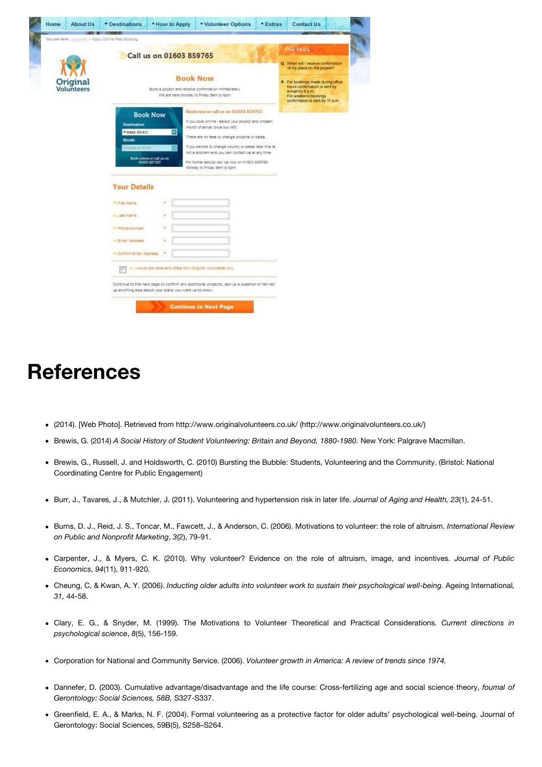|                              | Call us on 01603 859765<br><b>Book Now</b><br>Book a project and receive confirmation immediately.<br>We are here Monday to Friday 9am to 6pm          |                                                                                                                                                                                                                                                                                                                                                   |                                                               | <b>Top FAQ's</b><br>Q. When will I receive confirmation                                                                                                                           |  |
|------------------------------|--------------------------------------------------------------------------------------------------------------------------------------------------------|---------------------------------------------------------------------------------------------------------------------------------------------------------------------------------------------------------------------------------------------------------------------------------------------------------------------------------------------------|---------------------------------------------------------------|-----------------------------------------------------------------------------------------------------------------------------------------------------------------------------------|--|
| <b>Origina</b><br>Volunteers |                                                                                                                                                        |                                                                                                                                                                                                                                                                                                                                                   |                                                               | of my place on the project?<br>A. For bookings made during office<br>hours confirmation is sent by<br>e-mail by 6 p.m.<br>For weekend bookings<br>confirmation is sent by 11 a.m. |  |
|                              | <b>Book Now</b><br><b>Destination</b><br>Please Select<br>Month<br>loose a Month<br>Book celine or call us on                                          | Book now or call us on 01603 859765<br>if you book online - select your project and chosen<br>month of amival (blue box left).<br>There are no fees to change projects or dates.<br>If you decide to change country or dates later this is<br>not a problem and you can contact us at any time.<br>For further advice call us now on 01603 359765 |                                                               |                                                                                                                                                                                   |  |
|                              | <b>Your Details</b><br>in First Name:                                                                                                                  | 丈                                                                                                                                                                                                                                                                                                                                                 | Monday to Friday 9am to 6pm                                   |                                                                                                                                                                                   |  |
|                              | illi Last Name:<br>in Friene Number:<br>A Email Address:                                                                                               | ×                                                                                                                                                                                                                                                                                                                                                 |                                                               |                                                                                                                                                                                   |  |
|                              | A Confirm Errell Azioress<br>                                                                                                                          | 快                                                                                                                                                                                                                                                                                                                                                 | A I would like news and offers from Original Volunteers only. |                                                                                                                                                                                   |  |
|                              | Continue to the next page to confirm any additional projects, ask us a question or tell tell<br>us anything else about your plans you want us to know. |                                                                                                                                                                                                                                                                                                                                                   |                                                               |                                                                                                                                                                                   |  |

### **References**

- (2014). [Web Photo]. Retrieved from [http://www.originalvolunteers.co.uk/ \(http://www.originalvolunteers.co.uk/\)](http://www.originalvolunteers.co.uk/)
- Brewis, G. (2014) *A Social History of Student Volunteering: Britain and Beyond, 1880-1980.* New York: Palgrave Macmillan.
- Brewis, G., Russell, J. and Holdsworth, C. (2010) Bursting the Bubble: Students, Volunteering and the Community. (Bristol: National Coordinating Centre for Public Engagement)
- Burr, J., Tavares, J., & Mutchler, J. (2011). Volunteering and hypertension risk in later life. *Journal of Aging and Health, 23*(1), 24-51.
- Burns, D. J., Reid, J. S., Toncar, M., Fawcett, J., & Anderson, C. (2006). Motivations to volunteer: the role of altruism. *International Review on Public and Nonprofit Marketing*, *3*(2), 79-91.
- Carpenter, J., & Myers, C. K. (2010). Why volunteer? Evidence on the role of altruism, image, and incentives. *Journal of Public Economics*, *94*(11), 911-920.
- Cheung, C, & Kwan, A. Y. (2006). *Inducting older adults into volunteer work to sustain their psychological well-being. Ageing International, 31,* 44-58.
- Clary, E. G., & Snyder, M. (1999). The Motivations to Volunteer Theoretical and Practical Considerations. *Current directions in psychological science*, *8*(5), 156-159.
- Corporation for National and Community Service. (2006). *Volunteer growth in America: A review of trends since 1974.*
- Dannefer, D. (2003). Cumulative advantage/disadvantage and the life course: Cross-fertilizing age and social science theory, *foumal of Gerontology: Social Sciences, 58B,* S327-S337.
- Greenfield, E. A., & Marks, N. F. (2004). Formal volunteering as a protective factor for older adults' psychological well-being. Journal of Gerontology: Social Sciences, 59B(5), S258–S264.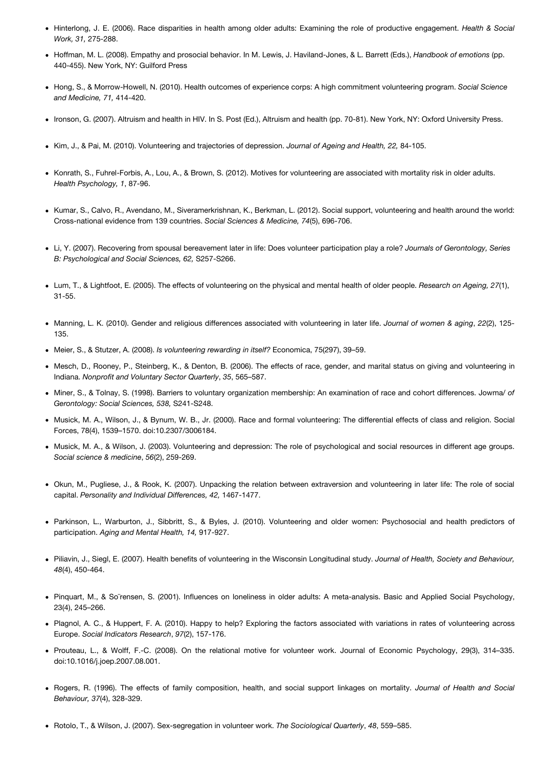- Hinterlong, J. E. (2006). Race disparities in health among older adults: Examining the role of productive engagement. *Health & Social Work, 31,* 275-288.
- Hoffman, M. L. (2008). Empathy and prosocial behavior. In M. Lewis, J. Haviland-Jones, & L. Barrett (Eds.), *Handbook of emotions* (pp. 440-455). New York, NY: Guilford Press
- Hong, S., & Morrow-Howell, N. (2010). Health outcomes of experience corps: A high commitment volunteering program. *Social Science and Medicine, 71,* 414-420.
- Ironson, G. (2007). Altruism and health in HIV. In S. Post (Ed.), Altruism and health (pp. 70-81). New York, NY: Oxford University Press.
- Kim, J., & Pai, M. (2010). Volunteering and trajectories of depression. *Journal of Ageing and Health, 22,* 84-105.
- Konrath, S., Fuhrel-Forbis, A., Lou, A., & Brown, S. (2012). Motives for volunteering are associated with mortality risk in older adults. *Health Psychology, 1*, 87-96.
- Kumar, S., Calvo, R., Avendano, M., Siveramerkrishnan, K., Berkman, L. (2012). Social support, volunteering and health around the world: Cross-national evidence from 139 countries. *Social Sciences & Medicine, 74*(5), 696-706.
- Li, Y. (2007). Recovering from spousal bereavement later in life: Does volunteer participation play a role? *Journals of Gerontology, Series B: Psychological and Social Sciences, 62,* S257-S266.
- Lum, T., & Lightfoot, E. (2005). The effects of volunteering on the physical and mental health of older people. *Research on Ageing, 27*(1), 31-55.
- Manning, L. K. (2010). Gender and religious differences associated with volunteering in later life. *Journal of women & aging*, *22*(2), 125- 135.
- Meier, S., & Stutzer, A. (2008). *Is volunteering rewarding in itself?* Economica, 75(297), 39–59.
- Mesch, D., Rooney, P., Steinberg, K., & Denton, B. (2006). The effects of race, gender, and marital status on giving and volunteering in Indiana. *Nonprofit and Voluntary Sector Quarterly*, *35*, 565–587.
- Miner, S., & Tolnay, S. (1998). Barriers to voluntary organization membership: An examination of race and cohort differences. Jowma/ *of Gerontology: Social Sciences, 538,* S241-S248.
- Musick, M. A., Wilson, J., & Bynum, W. B., Jr. (2000). Race and formal volunteering: The differential effects of class and religion. Social Forces, 78(4), 1539–1570. doi:10.2307/3006184.
- Musick, M. A., & Wilson, J. (2003). Volunteering and depression: The role of psychological and social resources in different age groups. *Social science & medicine*, *56*(2), 259-269.
- Okun, M., Pugliese, J., & Rook, K. (2007). Unpacking the relation between extraversion and volunteering in later life: The role of social capital. *Personality and Individual Differences, 42,* 1467-1477.
- Parkinson, L., Warburton, J., Sibbritt, S., & Byles, J. (2010). Volunteering and older women: Psychosocial and health predictors of participation. *Aging and Mental Health, 14,* 917-927.
- Piliavin, J., Siegl, E. (2007). Health benefits of volunteering in the Wisconsin Longitudinal study. *Journal of Health, Society and Behaviour, 48*(4), 450-464.
- Pinquart, M., & So¨rensen, S. (2001). Influences on loneliness in older adults: A meta-analysis. Basic and Applied Social Psychology, 23(4), 245–266.
- Plagnol, A. C., & Huppert, F. A. (2010). Happy to help? Exploring the factors associated with variations in rates of volunteering across Europe. *Social Indicators Research*, *97*(2), 157-176.
- Prouteau, L., & Wolff, F.-C. (2008). On the relational motive for volunteer work. Journal of Economic Psychology, 29(3), 314–335. doi:10.1016/j.joep.2007.08.001.
- Rogers, R. (1996). The effects of family composition, health, and social support linkages on mortality. *Journal of Health and Social Behaviour, 37*(4), 328-329.
- Rotolo, T., & Wilson, J. (2007). Sex-segregation in volunteer work. *The Sociological Quarterly*, *48*, 559–585.